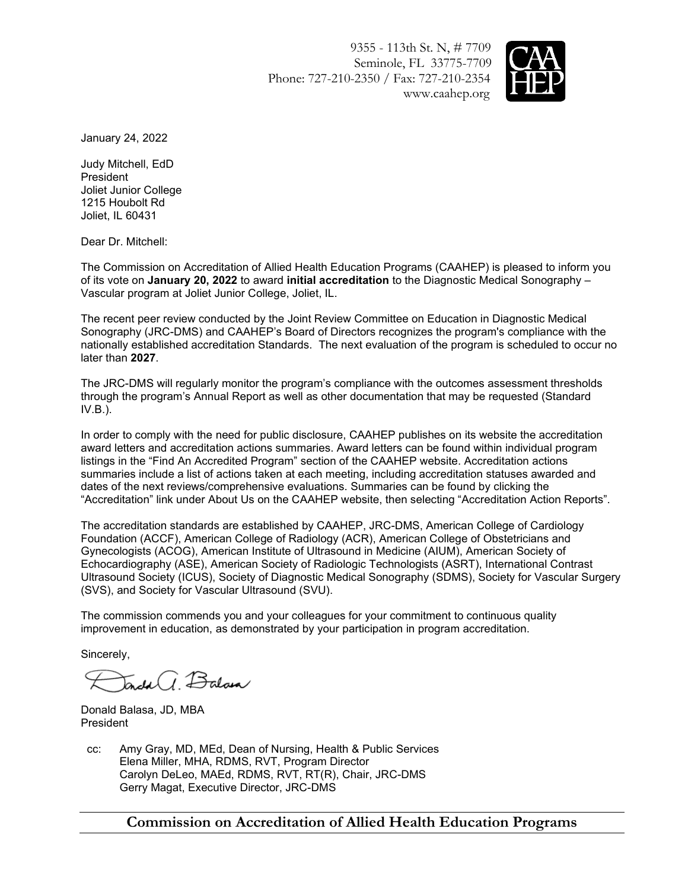9355 - 113th St. N, # 7709 Seminole, FL 33775-7709 Phone: 727-210-2350 / Fax: 727-210-2354 www.caahep.org



January 24, 2022

Judy Mitchell, EdD President Joliet Junior College 1215 Houbolt Rd Joliet, IL 60431

Dear Dr. Mitchell:

The Commission on Accreditation of Allied Health Education Programs (CAAHEP) is pleased to inform you of its vote on **January 20, 2022** to award **initial accreditation** to the Diagnostic Medical Sonography – Vascular program at Joliet Junior College, Joliet, IL.

The recent peer review conducted by the Joint Review Committee on Education in Diagnostic Medical Sonography (JRC-DMS) and CAAHEP's Board of Directors recognizes the program's compliance with the nationally established accreditation Standards. The next evaluation of the program is scheduled to occur no later than **2027**.

The JRC-DMS will regularly monitor the program's compliance with the outcomes assessment thresholds through the program's Annual Report as well as other documentation that may be requested (Standard  $IV.B.$ ).

In order to comply with the need for public disclosure, CAAHEP publishes on its website the accreditation award letters and accreditation actions summaries. Award letters can be found within individual program listings in the "Find An Accredited Program" section of the CAAHEP website. Accreditation actions summaries include a list of actions taken at each meeting, including accreditation statuses awarded and dates of the next reviews/comprehensive evaluations. Summaries can be found by clicking the "Accreditation" link under About Us on the CAAHEP website, then selecting "Accreditation Action Reports".

The accreditation standards are established by CAAHEP, JRC-DMS, American College of Cardiology Foundation (ACCF), American College of Radiology (ACR), American College of Obstetricians and Gynecologists (ACOG), American Institute of Ultrasound in Medicine (AIUM), American Society of Echocardiography (ASE), American Society of Radiologic Technologists (ASRT), International Contrast Ultrasound Society (ICUS), Society of Diagnostic Medical Sonography (SDMS), Society for Vascular Surgery (SVS), and Society for Vascular Ultrasound (SVU).

The commission commends you and your colleagues for your commitment to continuous quality improvement in education, as demonstrated by your participation in program accreditation.

Sincerely,

*I* Balan

Donald Balasa, JD, MBA President

cc: Amy Gray, MD, MEd, Dean of Nursing, Health & Public Services Elena Miller, MHA, RDMS, RVT, Program Director Carolyn DeLeo, MAEd, RDMS, RVT, RT(R), Chair, JRC-DMS Gerry Magat, Executive Director, JRC-DMS